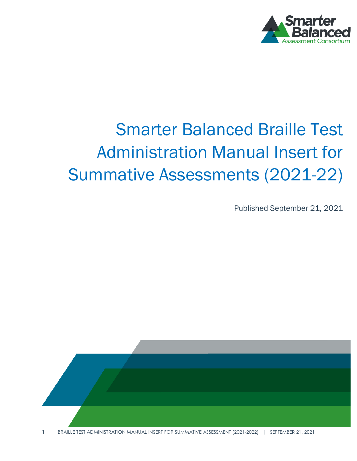

# Smarter Balanced Braille Test Administration Manual Insert for Summative Assessments (2021-22)

Published September 21, 2021

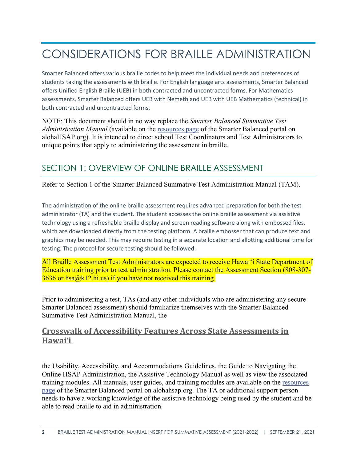# CONSIDERATIONS FOR BRAILLE ADMINISTRATION

Smarter Balanced offers various braille codes to help meet the individual needs and preferences of students taking the assessments with braille. For English language arts assessments, Smarter Balanced offers Unified English Braille (UEB) in both contracted and uncontracted forms. For Mathematics assessments, Smarter Balanced offers UEB with Nemeth and UEB with UEB Mathematics (technical) in both contracted and uncontracted forms.

NOTE: This document should in no way replace the *Smarter Balanced Summative Test Administration Manual* (available on the [resources page](https://smarterbalanced.alohahsap.org/resources#resource%20type=Testing%20System%20User%20Guide&assessment=Braille) of the Smarter Balanced portal on alohaHSAP.org). It is intended to direct school Test Coordinators and Test Administrators to unique points that apply to administering the assessment in braille.

#### SECTION 1: OVERVIEW OF ONLINE BRAILLE ASSESSMENT

Refer to Section 1 of the Smarter Balanced Summative Test Administration Manual (TAM).

The administration of the online braille assessment requires advanced preparation for both the test administrator (TA) and the student. The student accesses the online braille assessment via assistive technology using a refreshable braille display and screen reading software along with embossed files, which are downloaded directly from the testing platform. A braille embosser that can produce text and graphics may be needed. This may require testing in a separate location and allotting additional time for testing. The protocol for secure testing should be followed.

All Braille Assessment Test Administrators are expected to receive Hawaiʻi State Department of Education training prior to test administration. Please contact the Assessment Section (808-307-  $3636$  or hsa $@k12.hi.us$ ) if you have not received this training.

Prior to administering a test, TAs (and any other individuals who are administering any secure Smarter Balanced assessment) should familiarize themselves with the Smarter Balanced Summative Test Administration Manual, th[e](https://smarterbalanced.alohahsap.org/-/media/project/client-portals/hawaii-smarter-balanced/pdf/2021q3/crosswalk-of-accessibility-features-across-state-assessments-in-hawaii_2021-2022.pdf)

#### **Crosswalk of Accessibility Features Across State [Assessments](https://smarterbalanced.alohahsap.org/-/media/project/client-portals/hawaii-smarter-balanced/pdf/2021q3/crosswalk-of-accessibility-features-across-state-assessments-in-hawaii_2021-2022.pdf) in [Hawai'i](https://smarterbalanced.alohahsap.org/-/media/project/client-portals/hawaii-smarter-balanced/pdf/2021q3/crosswalk-of-accessibility-features-across-state-assessments-in-hawaii_2021-2022.pdf)**

the Usability, Accessibility, and Accommodations Guidelines, the Guide to Navigating the Online HSAP Administration, the Assistive Technology Manual as well as view the associated training modules. All manuals, user guides, and training modules are available on the [resources](https://smarterbalanced.alohahsap.org/resources#resource%20type=Testing%20System%20User%20Guide&assessment=Braille)  [page](https://smarterbalanced.alohahsap.org/resources#resource%20type=Testing%20System%20User%20Guide&assessment=Braille) of the Smarter Balanced portal on alohahsap.org. The TA or additional support person needs to have a working knowledge of the assistive technology being used by the student and be able to read braille to aid in administration.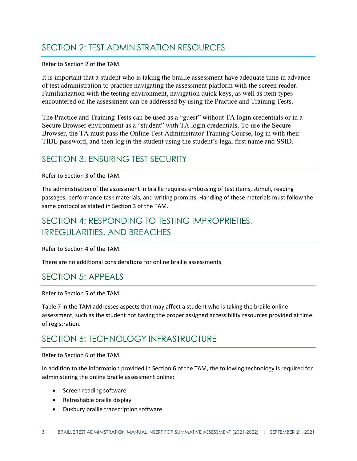### SECTION 2: TEST ADMINISTRATION RESOURCES

#### Refer to Section 2 of the TAM.

It is important that a student who is taking the braille assessment have adequate time in advance of test administration to practice navigating the assessment platform with the screen reader. Familiarization with the testing environment, navigation quick keys, as well as item types encountered on the assessment can be addressed by using the Practice and Training Tests.

The Practice and Training Tests can be used as a "guest" without TA login credentials or in a Secure Browser environment as a "student" with TA login credentials. To use the Secure Browser, the TA must pass the Online Test Administrator Training Course, log in with their TIDE password, and then log in the student using the student's legal first name and SSID.

#### SECTION 3: ENSURING TEST SECURITY

Refer to Section 3 of the TAM.

The administration of the assessment in braille requires embossing of test items, stimuli, reading passages, performance task materials, and writing prompts. Handling of these materials must follow the same protocol as stated in Section 3 of the TAM.

### SECTION 4: RESPONDING TO TESTING IMPROPRIETIES, IRREGULARITIES, AND BREACHES

Refer to Section 4 of the TAM.

There are no additional considerations for online braille assessments.

#### SECTION 5: APPEALS

Refer to Section 5 of the TAM.

Table 7 in the TAM addresses aspects that may affect a student who is taking the braille online assessment, such as the student not having the proper assigned accessibility resources provided at time of registration.

#### SECTION 6: TECHNOLOGY INFRASTRUCTURE

Refer to Section 6 of the TAM.

In addition to the information provided in Section 6 of the TAM, the following technology is required for administering the online braille assessment online:

- Screen reading software
- Refreshable braille display
- Duxbury braille transcription software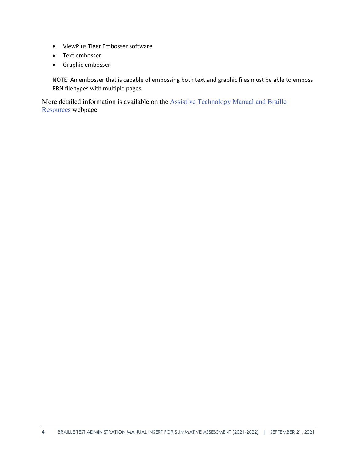- ViewPlus Tiger Embosser software
- Text embosser
- Graphic embosser

NOTE: An embosser that is capable of embossing both text and graphic files must be able to emboss PRN file types with multiple pages.

More detailed information is available on the [Assistive Technology Manual](https://smarterbalanced.alohahsap.org/resources/resources-2021-2022/assistive-technology-manual-and-braille-resources-2021-2022) and Braille [Resources](https://smarterbalanced.alohahsap.org/resources/resources-2021-2022/assistive-technology-manual-and-braille-resources-2021-2022) webpage.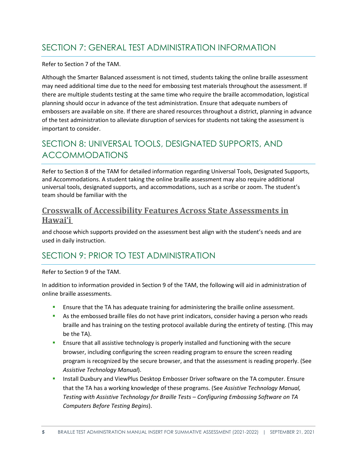Refer to Section 7 of the TAM.

Although the Smarter Balanced assessment is not timed, students taking the online braille assessment may need additional time due to the need for embossing test materials throughout the assessment. If there are multiple students testing at the same time who require the braille accommodation, logistical planning should occur in advance of the test administration. Ensure that adequate numbers of embossers are available on site. If there are shared resources throughout a district, planning in advance of the test administration to alleviate disruption of services for students not taking the assessment is important to consider.

## SECTION 8: UNIVERSAL TOOLS, DESIGNATED SUPPORTS, AND ACCOMMODATIONS

Refer to Section 8 of the TAM for detailed information regarding Universal Tools, Designated Supports, and Accommodations. A student taking the online braille assessment may also require additional universal tools, designated supports, and accommodations, such as a scribe or zoom. The student's team should be familiar with the

#### **Crosswalk of Accessibility Features Across State [Assessments](https://smarterbalanced.alohahsap.org/-/media/project/client-portals/hawaii-smarter-balanced/pdf/2021q3/crosswalk-of-accessibility-features-across-state-assessments-in-hawaii_2021-2022.pdf) in [Hawai'i](https://smarterbalanced.alohahsap.org/-/media/project/client-portals/hawaii-smarter-balanced/pdf/2021q3/crosswalk-of-accessibility-features-across-state-assessments-in-hawaii_2021-2022.pdf)**

and choose which supports provided on the assessment best align with the student's needs and are used in daily instruction.

## SECTION 9: PRIOR TO TEST ADMINISTRATION

Refer to Section 9 of the TAM.

In addition to information provided in Section 9 of the TAM, the following will aid in administration of online braille assessments.

- Ensure that the TA has adequate training for administering the braille online assessment.
- **As the embossed braille files do not have print indicators, consider having a person who reads** braille and has training on the testing protocol available during the entirety of testing. (This may be the TA).
- **E** Ensure that all assistive technology is properly installed and functioning with the secure browser, including configuring the screen reading program to ensure the screen reading program is recognized by the secure browser, and that the assessment is reading properly. (See *Assistive Technology Manual*).
- **Install Duxbury and ViewPlus Desktop Embosser Driver software on the TA computer. Ensure** that the TA has a working knowledge of these programs. (See *Assistive Technology Manual, Testing with Assistive Technology for Braille Tests – Configuring Embossing Software on TA Computers Before Testing Begins*).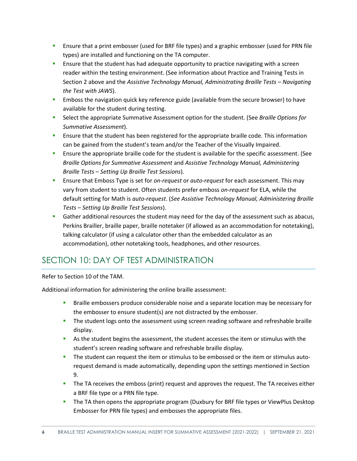- Ensure that a print embosser (used for BRF file types) and a graphic embosser (used for PRN file types) are installed and functioning on the TA computer.
- **E** Ensure that the student has had adequate opportunity to practice navigating with a screen reader within the testing environment. (See information about Practice and Training Tests in Section 2 above and the *Assistive Technology Manual, Administrating Braille Tests – Navigating the Test with JAWS*).
- **Emboss the navigation quick key reference guide (available from the secure browser) to have** available for the student during testing.
- Select the appropriate Summative Assessment option for the student. (See *Braille Options for Summative Assessment*).
- **EXECT 1.5** Ensure that the student has been registered for the appropriate braille code. This information can be gained from the student's team and/or the Teacher of the Visually Impaired.
- **E** Ensure the appropriate braille code for the student is available for the specific assessment. (See *Braille Options for Summative Assessment* and *Assistive Technology Manual, Administering Braille Tests – Setting Up Braille Test Sessions*).
- Ensure that Emboss Type is set for *on-request* or *auto-request* for each assessment. This may vary from student to student. Often students prefer emboss *on-request* for ELA, while the default setting for Math is *auto-request*. (*See Assistive Technology Manual, Administering Braille Tests – Setting Up Braille Test Sessions*).
- **Gather additional resources the student may need for the day of the assessment such as abacus,** Perkins Brailler, braille paper, braille notetaker (if allowed as an accommodation for notetaking), talking calculator (if using a calculator other than the embedded calculator as an accommodation), other notetaking tools, headphones, and other resources.

## SECTION 10: DAY OF TEST ADMINISTRATION

Refer to Section 10 of the TAM.

Additional information for administering the online braille assessment:

- **Braille embossers produce considerable noise and a separate location may be necessary for** the embosser to ensure student(s) are not distracted by the embosser.
- The student logs onto the assessment using screen reading software and refreshable braille display.
- As the student begins the assessment, the student accesses the item or stimulus with the student's screen reading software and refreshable braille display.
- The student can request the item or stimulus to be embossed or the item or stimulus autorequest demand is made automatically, depending upon the settings mentioned in Section 9.
- The TA receives the emboss (print) request and approves the request. The TA receives either a BRF file type or a PRN file type.
- **The TA then opens the appropriate program (Duxbury for BRF file types or ViewPlus Desktop** Embosser for PRN file types) and embosses the appropriate files.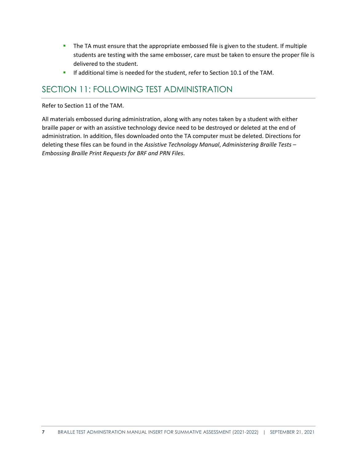- The TA must ensure that the appropriate embossed file is given to the student. If multiple students are testing with the same embosser, care must be taken to ensure the proper file is delivered to the student.
- **If additional time is needed for the student, refer to Section 10.1 of the TAM.**

#### SECTION 11: FOLLOWING TEST ADMINISTRATION

Refer to Section 11 of the TAM.

All materials embossed during administration, along with any notes taken by a student with either braille paper or with an assistive technology device need to be destroyed or deleted at the end of administration. In addition, files downloaded onto the TA computer must be deleted. Directions for deleting these files can be found in the *Assistive Technology Manual*, *Administering Braille Tests – Embossing Braille Print Requests for BRF and PRN Files*.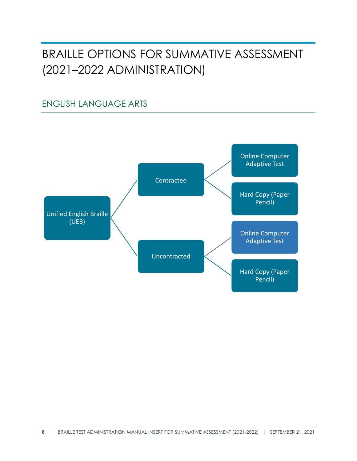## BRAILLE OPTIONS FOR SUMMATIVE ASSESSMENT (2021–2022 ADMINISTRATION)

### ENGLISH LANGUAGE ARTS

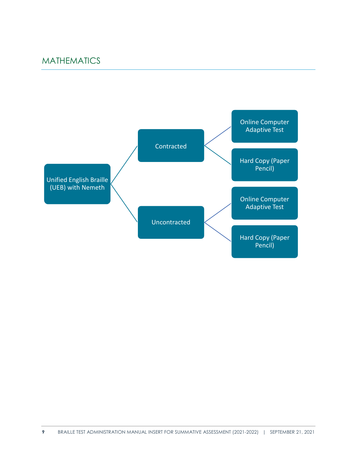#### MATHEMATICS